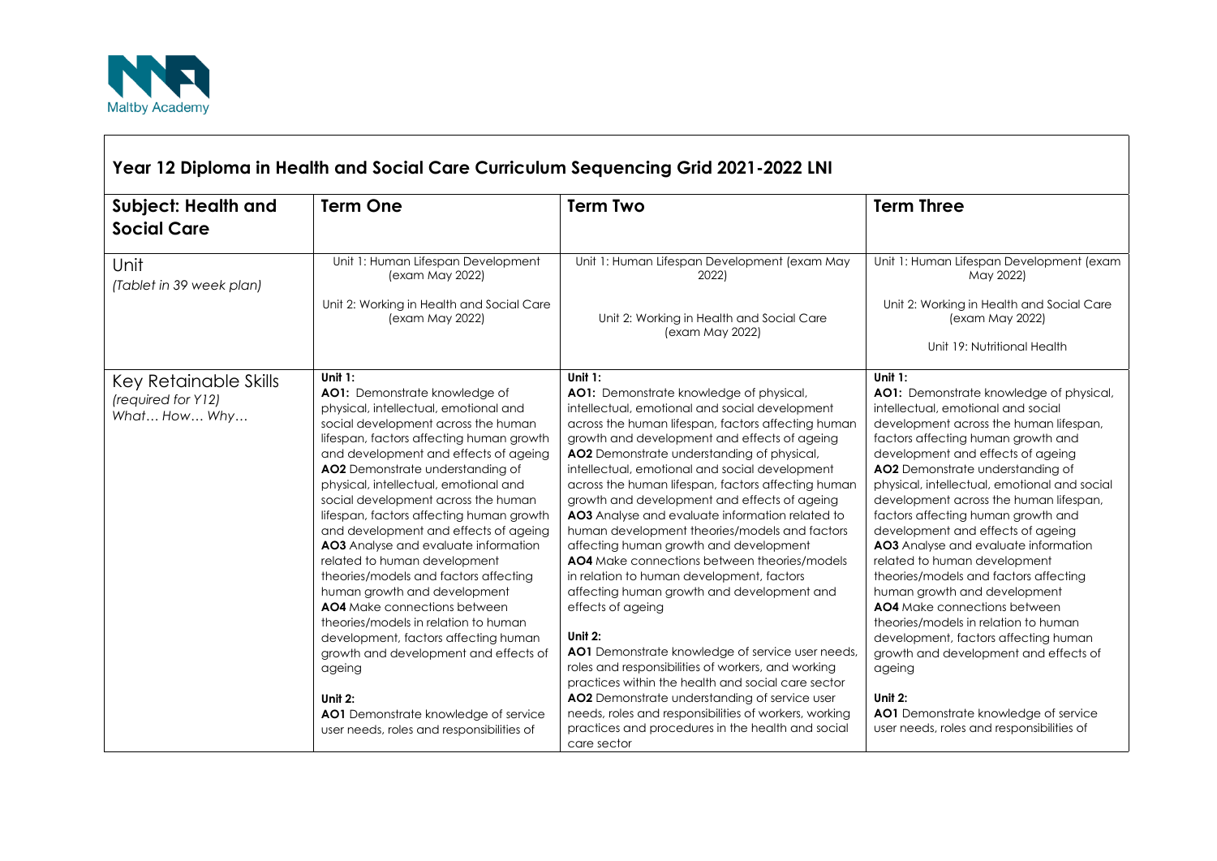

| Year 12 Diploma in Health and Social Care Curriculum Sequencing Grid 2021-2022 LNI |                                                                                                                                                                                                                                                                                                                                                                                                                                                                                                                                                                                                                                                                                                                                                                                                                                               |                                                                                                                                                                                                                                                                                                                                                                                                                                                                                                                                                                                                                                                                                                                                                                                                                                                                                                                                                                                                                                                                                               |                                                                                                                                                                                                                                                                                                                                                                                                                                                                                                                                                                                                                                                                                                                                                                                                                                               |
|------------------------------------------------------------------------------------|-----------------------------------------------------------------------------------------------------------------------------------------------------------------------------------------------------------------------------------------------------------------------------------------------------------------------------------------------------------------------------------------------------------------------------------------------------------------------------------------------------------------------------------------------------------------------------------------------------------------------------------------------------------------------------------------------------------------------------------------------------------------------------------------------------------------------------------------------|-----------------------------------------------------------------------------------------------------------------------------------------------------------------------------------------------------------------------------------------------------------------------------------------------------------------------------------------------------------------------------------------------------------------------------------------------------------------------------------------------------------------------------------------------------------------------------------------------------------------------------------------------------------------------------------------------------------------------------------------------------------------------------------------------------------------------------------------------------------------------------------------------------------------------------------------------------------------------------------------------------------------------------------------------------------------------------------------------|-----------------------------------------------------------------------------------------------------------------------------------------------------------------------------------------------------------------------------------------------------------------------------------------------------------------------------------------------------------------------------------------------------------------------------------------------------------------------------------------------------------------------------------------------------------------------------------------------------------------------------------------------------------------------------------------------------------------------------------------------------------------------------------------------------------------------------------------------|
| <b>Subject: Health and</b><br><b>Social Care</b>                                   | <b>Term One</b>                                                                                                                                                                                                                                                                                                                                                                                                                                                                                                                                                                                                                                                                                                                                                                                                                               | <b>Term Two</b>                                                                                                                                                                                                                                                                                                                                                                                                                                                                                                                                                                                                                                                                                                                                                                                                                                                                                                                                                                                                                                                                               | <b>Term Three</b>                                                                                                                                                                                                                                                                                                                                                                                                                                                                                                                                                                                                                                                                                                                                                                                                                             |
| Unit<br>(Tablet in 39 week plan)                                                   | Unit 1: Human Lifespan Development<br>(exam May 2022)<br>Unit 2: Working in Health and Social Care<br>(exam May 2022)                                                                                                                                                                                                                                                                                                                                                                                                                                                                                                                                                                                                                                                                                                                         | Unit 1: Human Lifespan Development (exam May<br>2022)<br>Unit 2: Working in Health and Social Care<br>(exam May 2022)                                                                                                                                                                                                                                                                                                                                                                                                                                                                                                                                                                                                                                                                                                                                                                                                                                                                                                                                                                         | Unit 1: Human Lifespan Development (exam<br>May 2022)<br>Unit 2: Working in Health and Social Care<br>(exam May 2022)<br>Unit 19: Nutritional Health                                                                                                                                                                                                                                                                                                                                                                                                                                                                                                                                                                                                                                                                                          |
| Key Retainable Skills<br>(required for Y12)<br>What How Why                        | Unit $1$ :<br>AO1: Demonstrate knowledge of<br>physical, intellectual, emotional and<br>social development across the human<br>lifespan, factors affecting human growth<br>and development and effects of ageing<br>AO2 Demonstrate understanding of<br>physical, intellectual, emotional and<br>social development across the human<br>lifespan, factors affecting human growth<br>and development and effects of ageing<br>AO3 Analyse and evaluate information<br>related to human development<br>theories/models and factors affecting<br>human growth and development<br>AO4 Make connections between<br>theories/models in relation to human<br>development, factors affecting human<br>growth and development and effects of<br>ageing<br>Unit 2:<br>AO1 Demonstrate knowledge of service<br>user needs, roles and responsibilities of | Unit $1$ :<br>AO1: Demonstrate knowledge of physical,<br>intellectual, emotional and social development<br>across the human lifespan, factors affecting human<br>growth and development and effects of ageing<br>AO2 Demonstrate understanding of physical,<br>intellectual, emotional and social development<br>across the human lifespan, factors affecting human<br>growth and development and effects of ageing<br>AO3 Analyse and evaluate information related to<br>human development theories/models and factors<br>affecting human growth and development<br>AO4 Make connections between theories/models<br>in relation to human development, factors<br>affecting human growth and development and<br>effects of ageing<br>Unit $2$ :<br>AO1 Demonstrate knowledge of service user needs,<br>roles and responsibilities of workers, and working<br>practices within the health and social care sector<br>AO2 Demonstrate understanding of service user<br>needs, roles and responsibilities of workers, working<br>practices and procedures in the health and social<br>care sector | Unit $1$ :<br>AO1: Demonstrate knowledge of physical,<br>intellectual, emotional and social<br>development across the human lifespan,<br>factors affecting human growth and<br>development and effects of ageing<br>AO2 Demonstrate understanding of<br>physical, intellectual, emotional and social<br>development across the human lifespan,<br>factors affecting human growth and<br>development and effects of ageing<br>AO3 Analyse and evaluate information<br>related to human development<br>theories/models and factors affecting<br>human growth and development<br>AO4 Make connections between<br>theories/models in relation to human<br>development, factors affecting human<br>growth and development and effects of<br>ageing<br>Unit 2:<br>AO1 Demonstrate knowledge of service<br>user needs, roles and responsibilities of |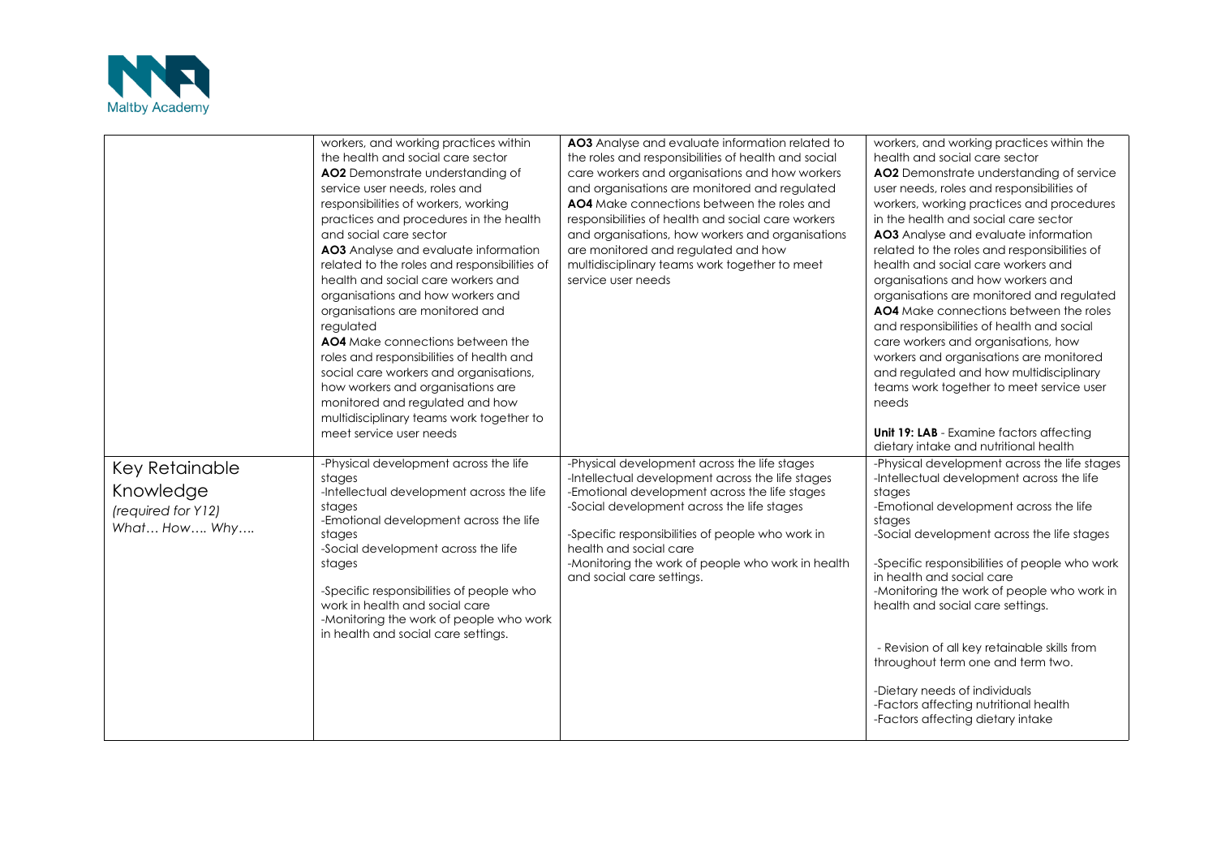

|                                                                   | workers, and working practices within<br>the health and social care sector<br>AO2 Demonstrate understanding of<br>service user needs, roles and<br>responsibilities of workers, working<br>practices and procedures in the health<br>and social care sector<br>AO3 Analyse and evaluate information<br>related to the roles and responsibilities of<br>health and social care workers and<br>organisations and how workers and<br>organisations are monitored and<br>regulated<br>AO4 Make connections between the<br>roles and responsibilities of health and<br>social care workers and organisations,<br>how workers and organisations are<br>monitored and regulated and how<br>multidisciplinary teams work together to<br>meet service user needs | AO3 Analyse and evaluate information related to<br>the roles and responsibilities of health and social<br>care workers and organisations and how workers<br>and organisations are monitored and regulated<br>AO4 Make connections between the roles and<br>responsibilities of health and social care workers<br>and organisations, how workers and organisations<br>are monitored and regulated and how<br>multidisciplinary teams work together to meet<br>service user needs | workers, and working practices within the<br>health and social care sector<br>AO2 Demonstrate understanding of service<br>user needs, roles and responsibilities of<br>workers, working practices and procedures<br>in the health and social care sector<br>AO3 Analyse and evaluate information<br>related to the roles and responsibilities of<br>health and social care workers and<br>organisations and how workers and<br>organisations are monitored and regulated<br>AO4 Make connections between the roles<br>and responsibilities of health and social<br>care workers and organisations, how<br>workers and organisations are monitored<br>and regulated and how multidisciplinary<br>teams work together to meet service user<br>needs<br>Unit 19: LAB - Examine factors affecting |
|-------------------------------------------------------------------|---------------------------------------------------------------------------------------------------------------------------------------------------------------------------------------------------------------------------------------------------------------------------------------------------------------------------------------------------------------------------------------------------------------------------------------------------------------------------------------------------------------------------------------------------------------------------------------------------------------------------------------------------------------------------------------------------------------------------------------------------------|---------------------------------------------------------------------------------------------------------------------------------------------------------------------------------------------------------------------------------------------------------------------------------------------------------------------------------------------------------------------------------------------------------------------------------------------------------------------------------|-----------------------------------------------------------------------------------------------------------------------------------------------------------------------------------------------------------------------------------------------------------------------------------------------------------------------------------------------------------------------------------------------------------------------------------------------------------------------------------------------------------------------------------------------------------------------------------------------------------------------------------------------------------------------------------------------------------------------------------------------------------------------------------------------|
| Key Retainable<br>Knowledge<br>(required for Y12)<br>What How Why | -Physical development across the life<br>stages<br>-Intellectual development across the life<br>stages<br>-Emotional development across the life<br>stages<br>-Social development across the life<br>stages<br>-Specific responsibilities of people who<br>work in health and social care<br>-Monitoring the work of people who work<br>in health and social care settings.                                                                                                                                                                                                                                                                                                                                                                             | -Physical development across the life stages<br>-Intellectual development across the life stages<br>-Emotional development across the life stages<br>-Social development across the life stages<br>-Specific responsibilities of people who work in<br>health and social care<br>-Monitoring the work of people who work in health<br>and social care settings.                                                                                                                 | dietary intake and nutritional health<br>-Physical development across the life stages<br>-Intellectual development across the life<br>stages<br>-Emotional development across the life<br>stages<br>-Social development across the life stages<br>-Specific responsibilities of people who work<br>in health and social care<br>-Monitoring the work of people who work in<br>health and social care settings.<br>- Revision of all key retainable skills from<br>throughout term one and term two.<br>-Dietary needs of individuals<br>-Factors affecting nutritional health<br>-Factors affecting dietary intake                                                                                                                                                                            |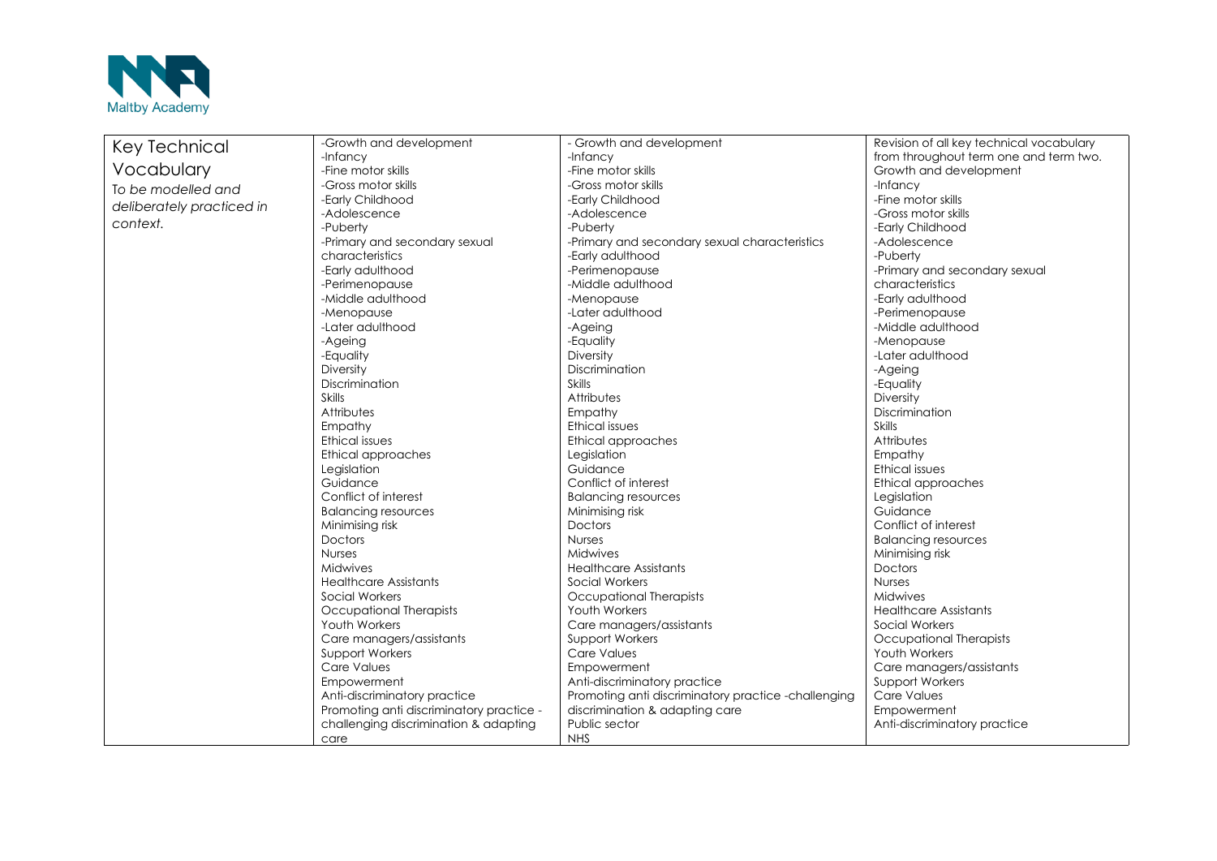

| Key Technical             | -Growth and development                  | - Growth and development                            | Revision of all key technical vocabulary |
|---------------------------|------------------------------------------|-----------------------------------------------------|------------------------------------------|
|                           | -Infancy                                 | -Infancy                                            | from throughout term one and term two.   |
| Vocabulary                | -Fine motor skills                       | -Fine motor skills                                  | Growth and development                   |
| To be modelled and        | -Gross motor skills                      | -Gross motor skills                                 | -Infancy                                 |
|                           | -Early Childhood                         | -Early Childhood                                    | -Fine motor skills                       |
| deliberately practiced in | -Adolescence                             | -Adolescence                                        | -Gross motor skills                      |
| context.                  | -Puberty                                 | -Puberty                                            | -Early Childhood                         |
|                           | -Primary and secondary sexual            | -Primary and secondary sexual characteristics       | -Adolescence                             |
|                           | characteristics                          | -Early adulthood                                    | -Puberty                                 |
|                           | -Early adulthood                         | -Perimenopause                                      | -Primary and secondary sexual            |
|                           | -Perimenopause                           | -Middle adulthood                                   | characteristics                          |
|                           | -Middle adulthood                        | -Menopause                                          | -Early adulthood                         |
|                           | -Menopause                               | -Later adulthood                                    | -Perimenopause                           |
|                           | -Later adulthood                         | -Ageing                                             | -Middle adulthood                        |
|                           | -Ageing                                  | -Equality                                           | -Menopause                               |
|                           | -Equality                                | Diversity                                           | -Later adulthood                         |
|                           | Diversity                                | Discrimination                                      | -Ageing                                  |
|                           | Discrimination                           | Skills                                              | -Equality                                |
|                           | Skills                                   | Attributes                                          | Diversity                                |
|                           | Attributes                               | Empathy                                             | Discrimination                           |
|                           | Empathy                                  | Ethical issues                                      | <b>Skills</b>                            |
|                           | Ethical issues                           | Ethical approaches                                  | Attributes                               |
|                           | Ethical approaches                       | Legislation                                         | Empathy                                  |
|                           | Legislation                              | Guidance                                            | <b>Ethical issues</b>                    |
|                           | Guidance                                 | Conflict of interest                                | Ethical approaches                       |
|                           | Conflict of interest                     | <b>Balancing resources</b>                          | Legislation                              |
|                           | <b>Balancing resources</b>               | Minimising risk                                     | Guidance                                 |
|                           | Minimising risk                          | Doctors                                             | Conflict of interest                     |
|                           | Doctors                                  | <b>Nurses</b>                                       | <b>Balancing resources</b>               |
|                           | <b>Nurses</b>                            | Midwives                                            | Minimising risk                          |
|                           | <b>Midwives</b>                          | <b>Healthcare Assistants</b>                        | <b>Doctors</b>                           |
|                           | <b>Healthcare Assistants</b>             | Social Workers                                      | <b>Nurses</b>                            |
|                           | Social Workers                           | Occupational Therapists                             | Midwives                                 |
|                           | Occupational Therapists                  | Youth Workers                                       | <b>Healthcare Assistants</b>             |
|                           | Youth Workers                            | Care managers/assistants                            | Social Workers                           |
|                           | Care managers/assistants                 | <b>Support Workers</b>                              | Occupational Therapists                  |
|                           | <b>Support Workers</b>                   | Care Values                                         | Youth Workers                            |
|                           | Care Values                              | Empowerment                                         | Care managers/assistants                 |
|                           | Empowerment                              | Anti-discriminatory practice                        | <b>Support Workers</b>                   |
|                           | Anti-discriminatory practice             | Promoting anti discriminatory practice -challenging | <b>Care Values</b>                       |
|                           | Promoting anti discriminatory practice - | discrimination & adapting care                      | Empowerment                              |
|                           | challenging discrimination & adapting    | Public sector                                       | Anti-discriminatory practice             |
|                           | care                                     | <b>NHS</b>                                          |                                          |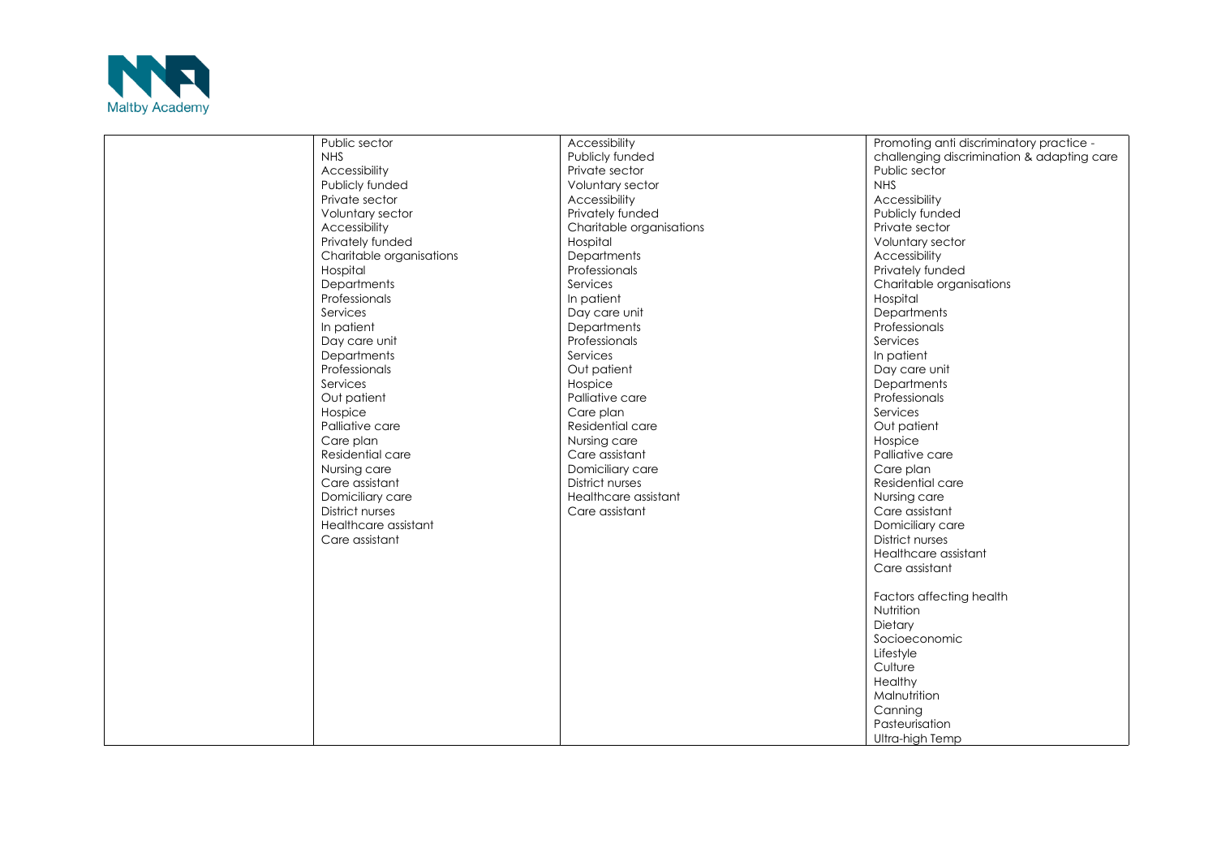

| Public sector            | Accessibility            | Promoting anti discriminatory practice -                                                                                                                             |
|--------------------------|--------------------------|----------------------------------------------------------------------------------------------------------------------------------------------------------------------|
| <b>NHS</b>               | Publicly funded          | challenging discrimination & adapting care                                                                                                                           |
| Accessibility            | Private sector           | Public sector                                                                                                                                                        |
| Publicly funded          | Voluntary sector         | <b>NHS</b>                                                                                                                                                           |
| Private sector           | Accessibility            | Accessibility                                                                                                                                                        |
| Voluntary sector         | Privately funded         | Publicly funded                                                                                                                                                      |
| Accessibility            | Charitable organisations | Private sector                                                                                                                                                       |
| Privately funded         | Hospital                 | Voluntary sector                                                                                                                                                     |
| Charitable organisations | Departments              | Accessibility                                                                                                                                                        |
| Hospital                 | Professionals            | Privately funded                                                                                                                                                     |
| Departments              | Services                 | Charitable organisations                                                                                                                                             |
| Professionals            | In patient               | Hospital                                                                                                                                                             |
| Services                 | Day care unit            | Departments                                                                                                                                                          |
| In patient               | <b>Departments</b>       | Professionals                                                                                                                                                        |
| Day care unit            | Professionals            | Services                                                                                                                                                             |
| Departments              | Services                 | In patient                                                                                                                                                           |
| Professionals            | Out patient              | Day care unit                                                                                                                                                        |
| Services                 | Hospice                  | <b>Departments</b>                                                                                                                                                   |
| Out patient              | Palliative care          | Professionals                                                                                                                                                        |
| Hospice                  | Care plan                | Services                                                                                                                                                             |
| Palliative care          | Residential care         | Out patient                                                                                                                                                          |
| Care plan                | Nursing care             | Hospice                                                                                                                                                              |
| Residential care         | Care assistant           | Palliative care                                                                                                                                                      |
| Nursing care             | Domiciliary care         | Care plan                                                                                                                                                            |
| Care assistant           | <b>District nurses</b>   | Residential care                                                                                                                                                     |
| Domiciliary care         | Healthcare assistant     | Nursing care                                                                                                                                                         |
| <b>District nurses</b>   | Care assistant           | Care assistant                                                                                                                                                       |
| Healthcare assistant     |                          | Domiciliary care                                                                                                                                                     |
| Care assistant           |                          | <b>District nurses</b>                                                                                                                                               |
|                          |                          | Healthcare assistant                                                                                                                                                 |
|                          |                          | Care assistant                                                                                                                                                       |
|                          |                          |                                                                                                                                                                      |
|                          |                          |                                                                                                                                                                      |
|                          |                          |                                                                                                                                                                      |
|                          |                          |                                                                                                                                                                      |
|                          |                          |                                                                                                                                                                      |
|                          |                          |                                                                                                                                                                      |
|                          |                          |                                                                                                                                                                      |
|                          |                          |                                                                                                                                                                      |
|                          |                          |                                                                                                                                                                      |
|                          |                          |                                                                                                                                                                      |
|                          |                          |                                                                                                                                                                      |
|                          |                          | Factors affecting health<br>Nutrition<br>Dietary<br>Socioeconomic<br>Lifestyle<br>Culture<br>Healthy<br>Malnutrition<br>Canning<br>Pasteurisation<br>Ultra-high Temp |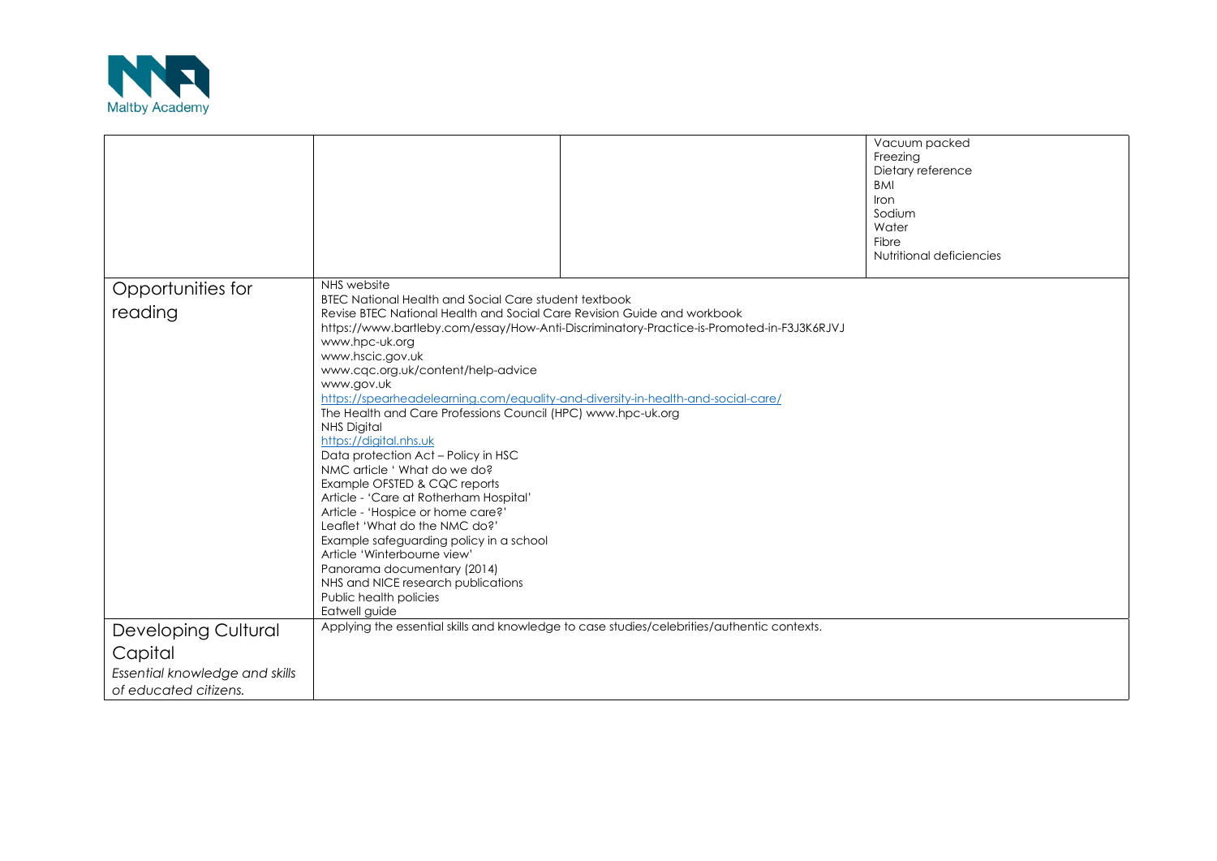

|                                |                                                                                                |                                                                                           | Vacuum packed<br>Freezing<br>Dietary reference<br><b>BMI</b><br>Iron |
|--------------------------------|------------------------------------------------------------------------------------------------|-------------------------------------------------------------------------------------------|----------------------------------------------------------------------|
|                                |                                                                                                |                                                                                           | Sodium<br>Water                                                      |
|                                |                                                                                                |                                                                                           | Fibre<br>Nutritional deficiencies                                    |
|                                |                                                                                                |                                                                                           |                                                                      |
| Opportunities for              | NHS website<br><b>BTEC National Health and Social Care student textbook</b>                    |                                                                                           |                                                                      |
| reading                        | Revise BTEC National Health and Social Care Revision Guide and workbook                        |                                                                                           |                                                                      |
|                                | www.hpc-uk.org                                                                                 | https://www.bartleby.com/essay/How-Anti-Discriminatory-Practice-is-Promoted-in-F3J3K6RJVJ |                                                                      |
|                                | www.hscic.gov.uk                                                                               |                                                                                           |                                                                      |
|                                | www.cqc.org.uk/content/help-advice                                                             |                                                                                           |                                                                      |
|                                | www.gov.uk<br>https://spearheadelearning.com/equality-and-diversity-in-health-and-social-care/ |                                                                                           |                                                                      |
|                                | The Health and Care Professions Council (HPC) www.hpc-uk.org                                   |                                                                                           |                                                                      |
|                                | <b>NHS Digital</b>                                                                             |                                                                                           |                                                                      |
|                                | https://digital.nhs.uk                                                                         |                                                                                           |                                                                      |
|                                | Data protection Act - Policy in HSC<br>NMC article ' What do we do?                            |                                                                                           |                                                                      |
|                                | Example OFSTED & CQC reports                                                                   |                                                                                           |                                                                      |
|                                | Article - 'Care at Rotherham Hospital'                                                         |                                                                                           |                                                                      |
|                                | Article - 'Hospice or home care?'<br>Leaflet 'What do the NMC do?'                             |                                                                                           |                                                                      |
|                                | Example safeguarding policy in a school                                                        |                                                                                           |                                                                      |
|                                | Article 'Winterbourne view'                                                                    |                                                                                           |                                                                      |
|                                | Panorama documentary (2014)                                                                    |                                                                                           |                                                                      |
|                                | NHS and NICE research publications                                                             |                                                                                           |                                                                      |
|                                | Public health policies<br>Eatwell guide                                                        |                                                                                           |                                                                      |
| <b>Developing Cultural</b>     | Applying the essential skills and knowledge to case studies/celebrities/authentic contexts.    |                                                                                           |                                                                      |
| Capital                        |                                                                                                |                                                                                           |                                                                      |
| Essential knowledge and skills |                                                                                                |                                                                                           |                                                                      |
| of educated citizens.          |                                                                                                |                                                                                           |                                                                      |